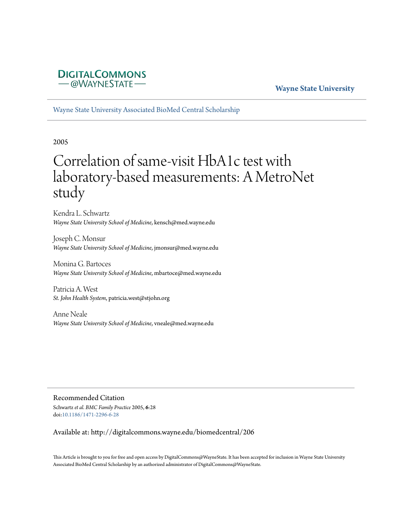

# **Wayne State University**

[Wayne State University Associated BioMed Central Scholarship](http://digitalcommons.wayne.edu/biomedcentral)

2005

# Correlation of same-visit HbA1c test with laboratory-based measurements: A MetroNet study

Kendra L. Schwartz *Wayne State University School of Medicine*, kensch@med.wayne.edu

Joseph C. Monsur *Wayne State University School of Medicine*, jmonsur@med.wayne.edu

Monina G. Bartoces *Wayne State University School of Medicine*, mbartoce@med.wayne.edu

Patricia A. West *St. John Health System*, patricia.west@stjohn.org

Anne Neale *Wayne State University School of Medicine*, vneale@med.wayne.edu

Recommended Citation Schwartz*et al. BMC Family Practice* 2005, **6**:28

doi:[10.1186/1471-2296-6-28](http://dx.doi.org/10.1186/1471-2296-6-28)

Available at: http://digitalcommons.wayne.edu/biomedcentral/206

This Article is brought to you for free and open access by DigitalCommons@WayneState. It has been accepted for inclusion in Wayne State University Associated BioMed Central Scholarship by an authorized administrator of DigitalCommons@WayneState.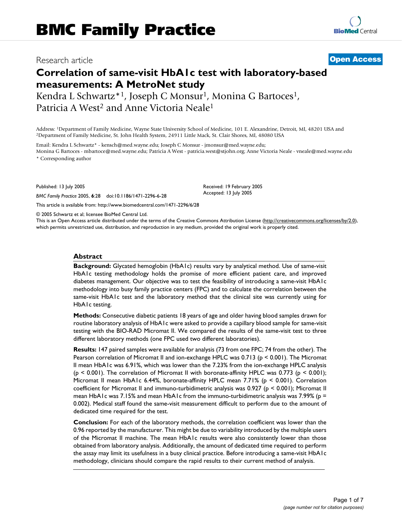# Research article **[Open Access](http://www.biomedcentral.com/info/about/charter/)**

# **Correlation of same-visit HbA1c test with laboratory-based measurements: A MetroNet study**

Kendra L Schwartz\*<sup>1</sup>, Joseph C Monsur<sup>1</sup>, Monina G Bartoces<sup>1</sup>, Patricia A West<sup>2</sup> and Anne Victoria Neale<sup>1</sup>

Address: <sup>1</sup>Department of Family Medicine, Wayne State University School of Medicine, 101 E. Alexandrine, Detroit, MI, 48201 USA and <sup>2</sup>Department of Family Medicine, St. John Health System, 24911 Little Mack, St. Clair Sh

Email: Kendra L Schwartz\* - kensch@med.wayne.edu; Joseph C Monsur - jmonsur@med.wayne.edu; Monina G Bartoces - mbartoce@med.wayne.edu; Patricia A West - patricia.west@stjohn.org; Anne Victoria Neale - vneale@med.wayne.edu

\* Corresponding author

Published: 13 July 2005

*BMC Family Practice* 2005, **6**:28 doi:10.1186/1471-2296-6-28

[This article is available from: http://www.biomedcentral.com/1471-2296/6/28](http://www.biomedcentral.com/1471-2296/6/28)

© 2005 Schwartz et al; licensee BioMed Central Ltd.

This is an Open Access article distributed under the terms of the Creative Commons Attribution License [\(http://creativecommons.org/licenses/by/2.0\)](http://creativecommons.org/licenses/by/2.0), which permits unrestricted use, distribution, and reproduction in any medium, provided the original work is properly cited.

Received: 19 February 2005 Accepted: 13 July 2005

# **Abstract**

**Background:** Glycated hemoglobin (HbA1c) results vary by analytical method. Use of same-visit HbA1c testing methodology holds the promise of more efficient patient care, and improved diabetes management. Our objective was to test the feasibility of introducing a same-visit HbA1c methodology into busy family practice centers (FPC) and to calculate the correlation between the same-visit HbA1c test and the laboratory method that the clinical site was currently using for HbA1c testing.

**Methods:** Consecutive diabetic patients 18 years of age and older having blood samples drawn for routine laboratory analysis of HbA1c were asked to provide a capillary blood sample for same-visit testing with the BIO-RAD Micromat II. We compared the results of the same-visit test to three different laboratory methods (one FPC used two different laboratories).

**Results:** 147 paired samples were available for analysis (73 from one FPC; 74 from the other). The Pearson correlation of Micromat II and ion-exchange HPLC was 0.713 (p < 0.001). The Micromat II mean HbA1c was 6.91%, which was lower than the 7.23% from the ion-exchange HPLC analysis  $(p \le 0.001)$ . The correlation of Micromat II with boronate-affinity HPLC was 0.773 ( $p \le 0.001$ ); Micromat II mean HbA1c 6.44%, boronate-affinity HPLC mean 7.71% (p < 0.001). Correlation coefficient for Micromat II and immuno-turbidimetric analysis was 0.927 (p < 0.001); Micromat II mean HbA1c was 7.15% and mean HbA1c from the immuno-turbidimetric analysis was 7.99% ( $p =$ 0.002). Medical staff found the same-visit measurement difficult to perform due to the amount of dedicated time required for the test.

**Conclusion:** For each of the laboratory methods, the correlation coefficient was lower than the 0.96 reported by the manufacturer. This might be due to variability introduced by the multiple users of the Micromat II machine. The mean HbA1c results were also consistently lower than those obtained from laboratory analysis. Additionally, the amount of dedicated time required to perform the assay may limit its usefulness in a busy clinical practice. Before introducing a same-visit HbA1c methodology, clinicians should compare the rapid results to their current method of analysis.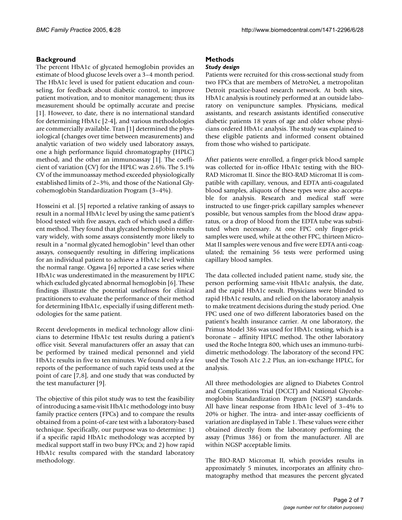# **Background**

The percent HbA1c of glycated hemoglobin provides an estimate of blood glucose levels over a 3–4 month period. The HbA1c level is used for patient education and counseling, for feedback about diabetic control, to improve patient motivation, and to monitor management; thus its measurement should be optimally accurate and precise [1]. However, to date, there is no international standard for determining HbA1c [2-4], and various methodologies are commercially available. Tran [1] determined the physiological (changes over time between measurements) and analytic variation of two widely used laboratory assays, one a high performance liquid chromatography (HPLC) method, and the other an immunoassay [1]. The coefficient of variation (CV) for the HPLC was 2.6%. The 5.1% CV of the immunoassay method exceeded physiologically established limits of 2–3%, and those of the National Glycohemoglobin Standardization Program (3–4%).

Hosseini et al. [5] reported a relative ranking of assays to result in a normal HbA1c level by using the same patient's blood tested with five assays, each of which used a different method. They found that glycated hemoglobin results vary widely, with some assays consistently more likely to result in a "normal glycated hemoglobin" level than other assays, consequently resulting in differing implications for an individual patient to achieve a HbA1c level within the normal range. Ogawa [6] reported a case series where HbA1c was underestimated in the measurement by HPLC which excluded glycated abnormal hemoglobin [6]. These findings illustrate the potential usefulness for clinical practitioners to evaluate the performance of their method for determining HbA1c, especially if using different methodologies for the same patient.

Recent developments in medical technology allow clinicians to determine HbA1c test results during a patient's office visit. Several manufacturers offer an assay that can be performed by trained medical personnel and yield HbA1c results in five to ten minutes. We found only a few reports of the performance of such rapid tests used at the point of care [7,8], and one study that was conducted by the test manufacturer [9].

The objective of this pilot study was to test the feasibility of introducing a same-visit HbA1c methodology into busy family practice centers (FPCs) and to compare the results obtained from a point-of-care test with a laboratory-based technique. Specifically, our purpose was to determine: 1) if a specific rapid HbA1c methodology was accepted by medical support staff in two busy FPCs; and 2) how rapid HbA1c results compared with the standard laboratory methodology.

# **Methods** *Study design*

Patients were recruited for this cross-sectional study from two FPCs that are members of MetroNet, a metropolitan Detroit practice-based research network. At both sites, HbA1c analysis is routinely performed at an outside laboratory on venipuncture samples. Physicians, medical assistants, and research assistants identified consecutive diabetic patients 18 years of age and older whose physicians ordered HbA1c analysis. The study was explained to these eligible patients and informed consent obtained from those who wished to participate.

After patients were enrolled, a finger-prick blood sample was collected for in-office HbA1c testing with the BIO-RAD Micromat II. Since the BIO-RAD Micromat II is compatible with capillary, venous, and EDTA anti-coagulated blood samples, aliquots of these types were also acceptable for analysis. Research and medical staff were instructed to use finger-prick capillary samples whenever possible, but venous samples from the blood draw apparatus, or a drop of blood from the EDTA tube was substituted when necessary. At one FPC only finger-prick samples were used, while at the other FPC, thirteen Micro-Mat II samples were venous and five were EDTA anti-coagulated; the remaining 56 tests were performed using capillary blood samples.

The data collected included patient name, study site, the person performing same-visit HbA1c analysis, the date, and the rapid HbA1c result. Physicians were blinded to rapid HbA1c results, and relied on the laboratory analysis to make treatment decisions during the study period. One FPC used one of two different laboratories based on the patient's health insurance carrier. At one laboratory, the Primus Model 386 was used for HbA1c testing, which is a boronate – affinity HPLC method. The other laboratory used the Roche Integra 800, which uses an immuno-turbidimetric methodology. The laboratory of the second FPC used the Tosoh A1c 2.2 Plus, an ion-exchange HPLC, for analysis.

All three methodologies are aligned to Diabetes Control and Complications Trial (DCCT) and National Glycohemoglobin Standardization Program (NGSP) standards. All have linear response from HbA1c level of 3–4% to 20% or higher. The intra- and inter-assay coefficients of variation are displayed in Table 1. These values were either obtained directly from the laboratory performing the assay (Primus 386) or from the manufacturer. All are within NGSP acceptable limits.

The BIO-RAD Micromat II, which provides results in approximately 5 minutes, incorporates an affinity chromatography method that measures the percent glycated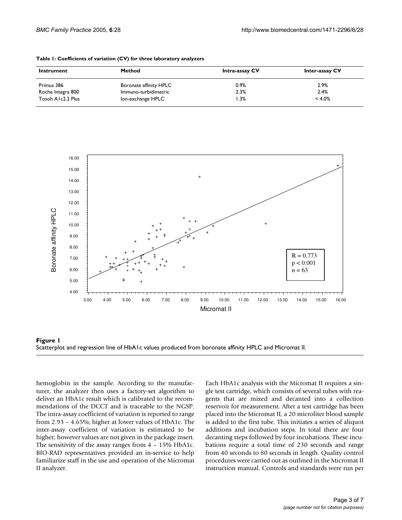| Instrument        | <b>Method</b>          | Intra-assay CV | <b>Inter-assay CV</b> |
|-------------------|------------------------|----------------|-----------------------|
| Primus 386        | Boronate affinity HPLC | 0.9%           | 2.9%                  |
| Roche Integra 800 | Immuno-turbidimetric   | 2.3%           | 2.4%                  |
| Tosoh A1c2.2 Plus | Ion-exchange HPLC      | $1.3\%$        | $< 4.0\%$             |

| Table 1: Coefficients of variation (CV) for three laboratory analyzers |  |  |
|------------------------------------------------------------------------|--|--|
|------------------------------------------------------------------------|--|--|



Scatterplot and regression line of HbA1c values pr **Figure 1** oduced from boronate affinity HPLC and Micromat II Scatterplot and regression line of HbA1c values produced from boronate affinity HPLC and Micromat II.

hemoglobin in the sample. According to the manufacturer, the analyzer then uses a factory-set algorithm to deliver an HbA1c result which is calibrated to the recommendations of the DCCT and is traceable to the NGSP. The intra-assay coefficient of variation is reported to range from 2.93 – 4.65%; higher at lower values of HbA1c. The inter-assay coefficient of variation is estimated to be higher; however values are not given in the package insert. The sensitivity of the assay ranges from  $4 - 15\%$  HbA1c. BIO-RAD representatives provided an in-service to help familiarize staff in the use and operation of the Micromat II analyzer.

Each HbA1c analysis with the Micromat II requires a single test cartridge, which consists of several tubes with reagents that are mixed and decanted into a collection reservoir for measurement. After a test cartridge has been placed into the Micromat II, a 20 microliter blood sample is added to the first tube. This initiates a series of aliquot additions and incubation steps. In total there are four decanting steps followed by four incubations. These incubations require a total time of 230 seconds and range from 40 seconds to 80 seconds in length. Quality control procedures were carried out as outlined in the Micromat II instruction manual. Controls and standards were run per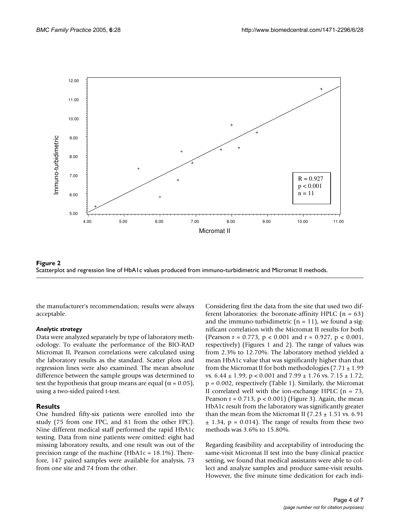



the manufacturer's recommendation; results were always acceptable.

# *Analytic strategy*

Data were analyzed separately by type of laboratory methodology. To evaluate the performance of the BIO-RAD Micromat II, Pearson correlations were calculated using the laboratory results as the standard. Scatter plots and regression lines were also examined. The mean absolute difference between the sample groups was determined to test the hypothesis that group means are equal ( $\alpha$  = 0.05), using a two-sided paired t-test.

# **Results**

One hundred fifty-six patients were enrolled into the study (75 from one FPC, and 81 from the other FPC). Nine different medical staff performed the rapid HbA1c testing. Data from nine patients were omitted: eight had missing laboratory results, and one result was out of the precision range of the machine (HbA1c = 18.1%). Therefore, 147 paired samples were available for analysis, 73 from one site and 74 from the other.

Considering first the data from the site that used two different laboratories: the boronate-affinity HPLC  $(n = 63)$ and the immuno-turbidimetric  $(n = 11)$ , we found a significant correlation with the Micromat II results for both (Pearson  $r = 0.773$ ,  $p < 0.001$  and  $r = 0.927$ ,  $p < 0.001$ , respectively) (Figures 1 and 2). The range of values was from 2.3% to 12.70%. The laboratory method yielded a mean HbA1c value that was significantly higher than that from the Micromat II for both methodologies (7.71  $\pm$  1.99 vs.  $6.44 \pm 1.99$ , p < 0.001 and  $7.99 \pm 1.76$  vs.  $7.15 \pm 1.72$ , p = 0.002, respectively (Table 1). Similarly, the Micromat II correlated well with the ion-exchange HPLC  $(n = 73)$ , Pearson  $r = 0.713$ ,  $p < 0.001$ ) (Figure 3). Again, the mean HbA1c result from the laboratory was significantly greater than the mean from the Micromat II (7.23  $\pm$  1.51 vs. 6.91  $\pm$  1.34, p = 0.014). The range of results from these two methods was 3.6% to 15.80%.

Regarding feasibility and acceptability of introducing the same-visit Micromat II test into the busy clinical practice setting, we found that medical assistants were able to collect and analyze samples and produce same-visit results. However, the five minute time dedication for each indi-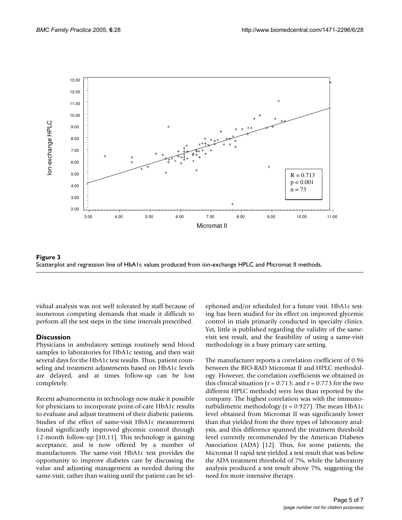



vidual analysis was not well tolerated by staff because of numerous competing demands that made it difficult to perform all the test steps in the time intervals prescribed.

# **Discussion**

Physicians in ambulatory settings routinely send blood samples to laboratories for HbA1c testing, and then wait several days for the HbA1c test results. Thus, patient counseling and treatment adjustments based on HbA1c levels are delayed, and at times follow-up can be lost completely.

Recent advancements in technology now make it possible for physicians to incorporate point-of-care HbA1c results to evaluate and adjust treatment of their diabetic patients. Studies of the effect of same-visit HbA1c measurement found significantly improved glycemic control through 12-month follow-up [10,11]. This technology is gaining acceptance, and is now offered by a number of manufacturers. The same-visit HbA1c test provides the opportunity to improve diabetes care by discussing the value and adjusting management as needed during the same-visit, rather than waiting until the patient can be telephoned and/or scheduled for a future visit. HbA1c testing has been studied for its effect on improved glycemic control in trials primarily conducted in specialty clinics. Yet, little is published regarding the validity of the samevisit test result, and the feasibility of using a same-visit methodology in a busy primary care setting.

The manufacturer reports a correlation coefficient of 0.96 between the BIO-RAD Micromat II and HPLC methodology. However, the correlation coefficients we obtained in this clinical situation ( $r = 0.713$ ; and  $r = 0.773$  for the two different HPLC methods) were less than reported by the company. The highest correlation was with the immunoturbidimetric methodology ( $r = 0.927$ ). The mean HbA1c level obtained from Micromat II was significantly lower than that yielded from the three types of laboratory analysis, and this difference spanned the treatment threshold level currently recommended by the American Diabetes Association (ADA) [12]. Thus, for some patients, the Micromat II rapid test yielded a test result that was below the ADA treatment threshold of 7%, while the laboratory analysis produced a test result above 7%, suggesting the need for more intensive therapy.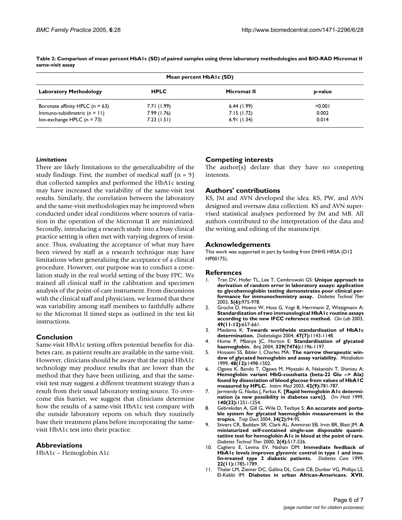| Mean percent HbAIc (SD)                                        |                           |                          |                |  |  |
|----------------------------------------------------------------|---------------------------|--------------------------|----------------|--|--|
| <b>Laboratory Methodology</b>                                  | <b>HPLC</b>               | Micromat II              | p-value        |  |  |
| Boronate affinity HPLC $(n = 63)$                              | 7.71 (1.99)               | 6.44(1.99)               | < 0.001        |  |  |
| Immuno-tubidimetric $(n = 11)$<br>Ion-exchange HPLC $(n = 73)$ | 7.99 (1.76)<br>7.23(1.51) | 7.15(1.72)<br>6.91(1.34) | 0.002<br>0.014 |  |  |

**Table 2: Comparison of mean percent HbA1c (SD) of paired samples using three laboratory methodologies and BIO-RAD Micromat II same-visit assay**

### *Limitations*

There are likely limitations to the generalizability of the study findings. First, the number of medical staff  $(n = 9)$ that collected samples and performed the HbA1c testing may have increased the variability of the same-visit test results. Similarly, the correlation between the laboratory and the same-visit methodologies may be improved when conducted under ideal conditions where sources of variation in the operation of the Micromat II are minimized. Secondly, introducing a research study into a busy clinical practice setting is often met with varying degrees of resistance. Thus, evaluating the acceptance of what may have been viewed by staff as a research technique may have limitations when generalizing the acceptance of a clinical procedure. However, our purpose was to conduct a correlation study in the real world setting of the busy FPC. We trained all clinical staff in the calibration and specimen analysis of the point-of-care instrument. From discussions with the clinical staff and physicians, we learned that there was variability among staff members to faithfully adhere to the Micromat II timed steps as outlined in the test kit instructions.

#### **Conclusion**

Same-visit HbA1c testing offers potential benefits for diabetes care, as patient results are available in the same-visit. However, clinicians should be aware that the rapid HbA1c technology may produce results that are lower than the method that they have been utilizing, and that the samevisit test may suggest a different treatment strategy than a result from their usual laboratory testing source. To overcome this barrier, we suggest that clinicians determine how the results of a same-visit HbA1c test compare with the outside laboratory reports on which they routinely base their treatment plans before incorporating the samevisit HbA1c test into their practice.

# **Abbreviations**

HbA1c – Hemoglobin A1c

# **Competing interests**

The author(s) declare that they have no competing interests.

# **Authors' contributions**

KS, JM and AVN developed the idea. KS, PW, and AVN designed and oversaw data collection. KS and AVN supervised statistical analyses performed by JM and MB. All authors contributed to the interpretation of the data and the writing and editing of the manuscript.

### **Acknowledgements**

This work was supported in part by funding from DHHS HRSA (D12 HP00175).

#### **References**

- 1. Tran DV, Hofer TL, Lee T, Cembrowski GS: **[Unique approach to](http://www.ncbi.nlm.nih.gov/entrez/query.fcgi?cmd=Retrieve&db=PubMed&dopt=Abstract&list_uids=14709199) [derivation of random error in laboratory assays: application](http://www.ncbi.nlm.nih.gov/entrez/query.fcgi?cmd=Retrieve&db=PubMed&dopt=Abstract&list_uids=14709199) to glycohemoglobin testing demonstrates poor clinical per[formance for immunochemistry assay.](http://www.ncbi.nlm.nih.gov/entrez/query.fcgi?cmd=Retrieve&db=PubMed&dopt=Abstract&list_uids=14709199)** *Diabetes Technol Ther* 2003, **5(6):**975-978.
- 2. Groche D, Hoeno W, Hoss G, Vogt B, Herrmann Z, Witzigmann A: **[Standardization of two immunological HbA1c routine assays](http://www.ncbi.nlm.nih.gov/entrez/query.fcgi?cmd=Retrieve&db=PubMed&dopt=Abstract&list_uids=14651337) [according to the new IFCC reference method.](http://www.ncbi.nlm.nih.gov/entrez/query.fcgi?cmd=Retrieve&db=PubMed&dopt=Abstract&list_uids=14651337)** *Clin Lab* 2003, **49(11-12):**657-661.
- 3. Miedema K: **[Towards worldwide standardisation of HbA1c](http://www.ncbi.nlm.nih.gov/entrez/query.fcgi?cmd=Retrieve&db=PubMed&dopt=Abstract&list_uids=15249996) [determination.](http://www.ncbi.nlm.nih.gov/entrez/query.fcgi?cmd=Retrieve&db=PubMed&dopt=Abstract&list_uids=15249996)** *Diabetologia* 2004, **47(7):**1143-1148.
- 4. Home P, Mbanya JC, Horton E: **[Standardisation of glycated](http://www.ncbi.nlm.nih.gov/entrez/query.fcgi?cmd=Retrieve&db=PubMed&dopt=Abstract&list_uids=15550404) [haemoglobin.](http://www.ncbi.nlm.nih.gov/entrez/query.fcgi?cmd=Retrieve&db=PubMed&dopt=Abstract&list_uids=15550404)** *Bmj* 2004, **329(7476):**1196-1197.
- 5. Hosseini SS, Bibler I, Charles MA: **[The narrow therapeutic win](http://www.ncbi.nlm.nih.gov/entrez/query.fcgi?cmd=Retrieve&db=PubMed&dopt=Abstract&list_uids=10599979)[dow of glycated hemoglobin and assay variability.](http://www.ncbi.nlm.nih.gov/entrez/query.fcgi?cmd=Retrieve&db=PubMed&dopt=Abstract&list_uids=10599979)** *Metabolism* 1999, **48(12):**1498-1502.
- 6. Ogawa K, Bando T, Ogawa M, Miyazaki A, Nakanishi T, Shimizu A: **Hemoglobin variant HbG-coushatta (beta-22 Glu --> Ala) [found by dissociation of blood glucose from values of HbA1C](http://www.ncbi.nlm.nih.gov/entrez/query.fcgi?cmd=Retrieve&db=PubMed&dopt=Abstract&list_uids=14518662) [measured by HPLC.](http://www.ncbi.nlm.nih.gov/entrez/query.fcgi?cmd=Retrieve&db=PubMed&dopt=Abstract&list_uids=14518662)** *Intern Med* 2003, **42(9):**781-787.
- Jermendy G, Nadas J, Farkas K: [\[Rapid hemoglobin A1c determi](http://www.ncbi.nlm.nih.gov/entrez/query.fcgi?cmd=Retrieve&db=PubMed&dopt=Abstract&list_uids=10377737)**[nation \(a new possibility in diabetes care\)\].](http://www.ncbi.nlm.nih.gov/entrez/query.fcgi?cmd=Retrieve&db=PubMed&dopt=Abstract&list_uids=10377737)** *Orv Hetil* 1999, **140(22):**1251-1254.
- 8. Gebrekidan A, Gill G, Wile D, Tesfaye S: **[An accurate and porta](http://www.ncbi.nlm.nih.gov/entrez/query.fcgi?cmd=Retrieve&db=PubMed&dopt=Abstract&list_uids=15117136)[ble system for glycated haemoglobin measurement in the](http://www.ncbi.nlm.nih.gov/entrez/query.fcgi?cmd=Retrieve&db=PubMed&dopt=Abstract&list_uids=15117136) [tropics.](http://www.ncbi.nlm.nih.gov/entrez/query.fcgi?cmd=Retrieve&db=PubMed&dopt=Abstract&list_uids=15117136)** *Trop Doct* 2004, **34(2):**94-95.
- 9. Stivers CR, Baddam SR, Clark AL, Ammirati EB, Irvin BR, Blatt JM: **[A](http://www.ncbi.nlm.nih.gov/entrez/query.fcgi?cmd=Retrieve&db=PubMed&dopt=Abstract&list_uids=11469613) [miniaturized self-contained single-use disposable quanti](http://www.ncbi.nlm.nih.gov/entrez/query.fcgi?cmd=Retrieve&db=PubMed&dopt=Abstract&list_uids=11469613)tatitve test for hemoglobin A1c in blood at the point of care.** *Diabetes Technol Ther* 2000, **2(4):**517-526.
- 10. Cagliero E, Levina EV, Nathan DM: **[Immediate feedback of](http://www.ncbi.nlm.nih.gov/entrez/query.fcgi?cmd=Retrieve&db=PubMed&dopt=Abstract&list_uids=10546008) [HbA1c levels improves glycemic control in type 1 and insu](http://www.ncbi.nlm.nih.gov/entrez/query.fcgi?cmd=Retrieve&db=PubMed&dopt=Abstract&list_uids=10546008)[lin-treated type 2 diabetic patients.](http://www.ncbi.nlm.nih.gov/entrez/query.fcgi?cmd=Retrieve&db=PubMed&dopt=Abstract&list_uids=10546008)** *Diabetes Care* 1999, **22(11):**1785-1789.
- 11. Thaler LM, Ziemer DC, Gallina DL, Cook CB, Dunbar VG, Phillips LS, El-Kebbi IM: **[Diabetes in urban African-Americans. XVII.](http://www.ncbi.nlm.nih.gov/entrez/query.fcgi?cmd=Retrieve&db=PubMed&dopt=Abstract&list_uids=10480502)**